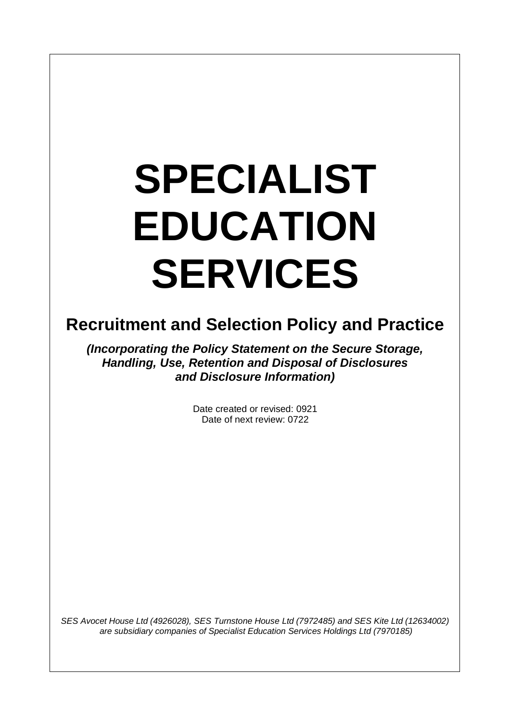# **SPECIALIST EDUCATION SERVICES**

 $\overline{\phantom{a}}$ 

# **Recruitment and Selection Policy and Practice**

*(Incorporating the Policy Statement on the Secure Storage, Handling, Use, Retention and Disposal of Disclosures and Disclosure Information)*

> Date created or revised: 0921 Date of next review: 0722

*SES Avocet House Ltd (4926028), SES Turnstone House Ltd (7972485) and SES Kite Ltd (12634002) are subsidiary companies of Specialist Education Services Holdings Ltd (7970185)*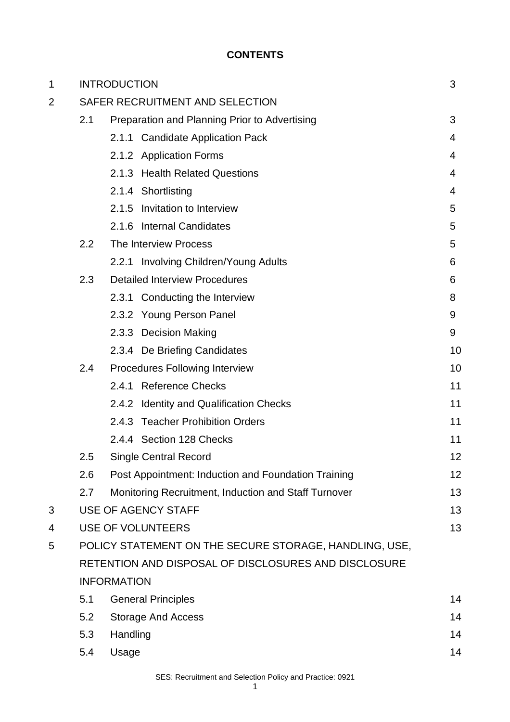# **CONTENTS**

| 1 |                                                        | <b>INTRODUCTION</b>                                  |  | 3  |
|---|--------------------------------------------------------|------------------------------------------------------|--|----|
| 2 | SAFER RECRUITMENT AND SELECTION                        |                                                      |  |    |
|   | 2.1                                                    | Preparation and Planning Prior to Advertising        |  | 3  |
|   |                                                        | 2.1.1 Candidate Application Pack                     |  | 4  |
|   |                                                        | 2.1.2 Application Forms                              |  | 4  |
|   |                                                        | 2.1.3 Health Related Questions                       |  | 4  |
|   |                                                        | 2.1.4 Shortlisting                                   |  | 4  |
|   |                                                        | Invitation to Interview<br>2.1.5                     |  | 5  |
|   |                                                        | <b>Internal Candidates</b><br>2.1.6                  |  | 5  |
|   | 2.2                                                    | The Interview Process                                |  | 5  |
|   |                                                        | 2.2.1 Involving Children/Young Adults                |  | 6  |
|   | 2.3                                                    | <b>Detailed Interview Procedures</b>                 |  | 6  |
|   |                                                        | 2.3.1 Conducting the Interview                       |  | 8  |
|   |                                                        | 2.3.2 Young Person Panel                             |  | 9  |
|   |                                                        | 2.3.3 Decision Making                                |  | 9  |
|   |                                                        | 2.3.4 De Briefing Candidates                         |  | 10 |
|   | 2.4                                                    | Procedures Following Interview                       |  | 10 |
|   |                                                        | 2.4.1 Reference Checks                               |  | 11 |
|   |                                                        | 2.4.2 Identity and Qualification Checks              |  | 11 |
|   |                                                        | 2.4.3 Teacher Prohibition Orders                     |  | 11 |
|   |                                                        | 2.4.4 Section 128 Checks                             |  | 11 |
|   | 2.5                                                    | <b>Single Central Record</b>                         |  | 12 |
|   | 2.6                                                    | Post Appointment: Induction and Foundation Training  |  | 12 |
|   | 2.7                                                    | Monitoring Recruitment, Induction and Staff Turnover |  | 13 |
| 3 |                                                        | <b>USE OF AGENCY STAFF</b>                           |  | 13 |
| 4 | <b>USE OF VOLUNTEERS</b>                               |                                                      |  | 13 |
| 5 | POLICY STATEMENT ON THE SECURE STORAGE, HANDLING, USE, |                                                      |  |    |
|   | RETENTION AND DISPOSAL OF DISCLOSURES AND DISCLOSURE   |                                                      |  |    |
|   | <b>INFORMATION</b>                                     |                                                      |  |    |
|   | 5.1                                                    | <b>General Principles</b>                            |  | 14 |
|   | 5.2                                                    | <b>Storage And Access</b>                            |  | 14 |
|   | 5.3                                                    | Handling                                             |  | 14 |
|   | 5.4                                                    | Usage                                                |  | 14 |
|   |                                                        |                                                      |  |    |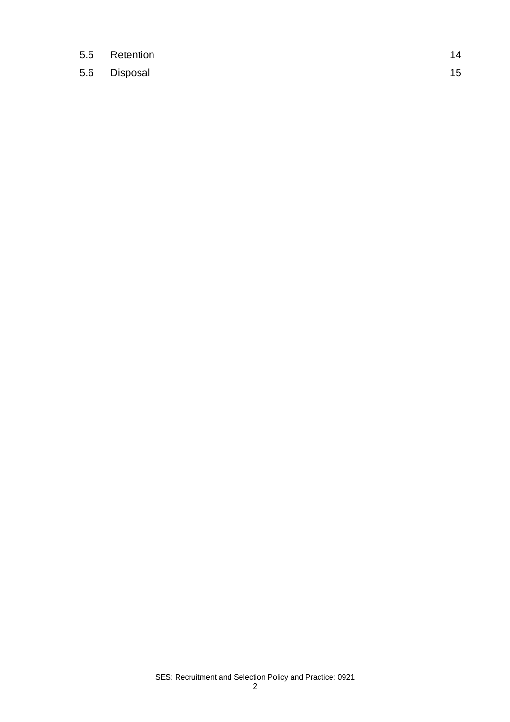- 5.5 Retention 14
- 5.6 Disposal 15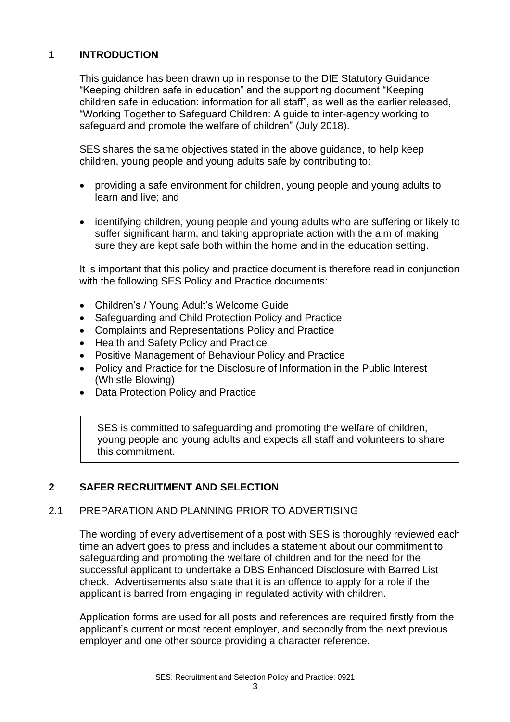# **1 INTRODUCTION**

This guidance has been drawn up in response to the DfE Statutory Guidance "Keeping children safe in education" and the supporting document "Keeping children safe in education: information for all staff", as well as the earlier released, "Working Together to Safeguard Children: A guide to inter-agency working to safeguard and promote the welfare of children" (July 2018).

SES shares the same objectives stated in the above guidance, to help keep children, young people and young adults safe by contributing to:

- providing a safe environment for children, young people and young adults to learn and live; and
- identifying children, young people and young adults who are suffering or likely to suffer significant harm, and taking appropriate action with the aim of making sure they are kept safe both within the home and in the education setting.

It is important that this policy and practice document is therefore read in conjunction with the following SES Policy and Practice documents:

- Children's / Young Adult's Welcome Guide
- Safeguarding and Child Protection Policy and Practice
- Complaints and Representations Policy and Practice
- Health and Safety Policy and Practice
- Positive Management of Behaviour Policy and Practice
- Policy and Practice for the Disclosure of Information in the Public Interest (Whistle Blowing)
- Data Protection Policy and Practice

SES is committed to safeguarding and promoting the welfare of children, young people and young adults and expects all staff and volunteers to share this commitment.

# **2 SAFER RECRUITMENT AND SELECTION**

#### 2.1 PREPARATION AND PLANNING PRIOR TO ADVERTISING

The wording of every advertisement of a post with SES is thoroughly reviewed each time an advert goes to press and includes a statement about our commitment to safeguarding and promoting the welfare of children and for the need for the successful applicant to undertake a DBS Enhanced Disclosure with Barred List check. Advertisements also state that it is an offence to apply for a role if the applicant is barred from engaging in regulated activity with children.

Application forms are used for all posts and references are required firstly from the applicant's current or most recent employer, and secondly from the next previous employer and one other source providing a character reference.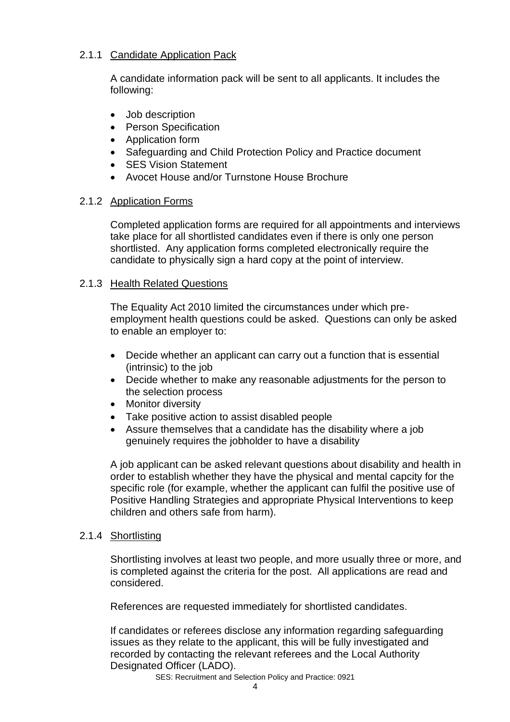## 2.1.1 Candidate Application Pack

A candidate information pack will be sent to all applicants. It includes the following:

- Job description
- Person Specification
- Application form
- Safeguarding and Child Protection Policy and Practice document
- SES Vision Statement
- Avocet House and/or Turnstone House Brochure

#### 2.1.2 Application Forms

Completed application forms are required for all appointments and interviews take place for all shortlisted candidates even if there is only one person shortlisted. Any application forms completed electronically require the candidate to physically sign a hard copy at the point of interview.

## 2.1.3 Health Related Questions

The Equality Act 2010 limited the circumstances under which preemployment health questions could be asked. Questions can only be asked to enable an employer to:

- Decide whether an applicant can carry out a function that is essential (intrinsic) to the job
- Decide whether to make any reasonable adjustments for the person to the selection process
- Monitor diversity
- Take positive action to assist disabled people
- Assure themselves that a candidate has the disability where a job genuinely requires the jobholder to have a disability

A job applicant can be asked relevant questions about disability and health in order to establish whether they have the physical and mental capcity for the specific role (for example, whether the applicant can fulfil the positive use of Positive Handling Strategies and appropriate Physical Interventions to keep children and others safe from harm).

# 2.1.4 Shortlisting

Shortlisting involves at least two people, and more usually three or more, and is completed against the criteria for the post. All applications are read and considered.

References are requested immediately for shortlisted candidates.

If candidates or referees disclose any information regarding safeguarding issues as they relate to the applicant, this will be fully investigated and recorded by contacting the relevant referees and the Local Authority Designated Officer (LADO).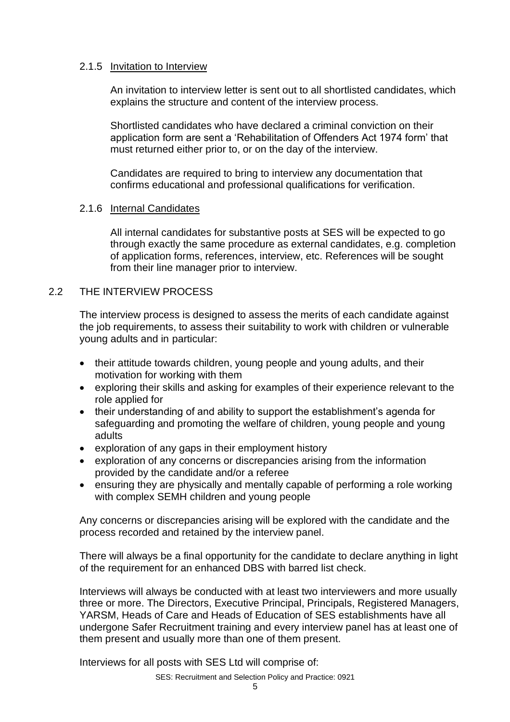#### 2.1.5 Invitation to Interview

An invitation to interview letter is sent out to all shortlisted candidates, which explains the structure and content of the interview process.

Shortlisted candidates who have declared a criminal conviction on their application form are sent a 'Rehabilitation of Offenders Act 1974 form' that must returned either prior to, or on the day of the interview.

Candidates are required to bring to interview any documentation that confirms educational and professional qualifications for verification.

#### 2.1.6 Internal Candidates

All internal candidates for substantive posts at SES will be expected to go through exactly the same procedure as external candidates, e.g. completion of application forms, references, interview, etc. References will be sought from their line manager prior to interview.

#### 2.2 THE INTERVIEW PROCESS

The interview process is designed to assess the merits of each candidate against the job requirements, to assess their suitability to work with children or vulnerable young adults and in particular:

- their attitude towards children, young people and young adults, and their motivation for working with them
- exploring their skills and asking for examples of their experience relevant to the role applied for
- their understanding of and ability to support the establishment's agenda for safeguarding and promoting the welfare of children, young people and young adults
- exploration of any gaps in their employment history
- exploration of any concerns or discrepancies arising from the information provided by the candidate and/or a referee
- ensuring they are physically and mentally capable of performing a role working with complex SEMH children and young people

Any concerns or discrepancies arising will be explored with the candidate and the process recorded and retained by the interview panel.

There will always be a final opportunity for the candidate to declare anything in light of the requirement for an enhanced DBS with barred list check.

Interviews will always be conducted with at least two interviewers and more usually three or more. The Directors, Executive Principal, Principals, Registered Managers, YARSM, Heads of Care and Heads of Education of SES establishments have all undergone Safer Recruitment training and every interview panel has at least one of them present and usually more than one of them present.

Interviews for all posts with SES Ltd will comprise of: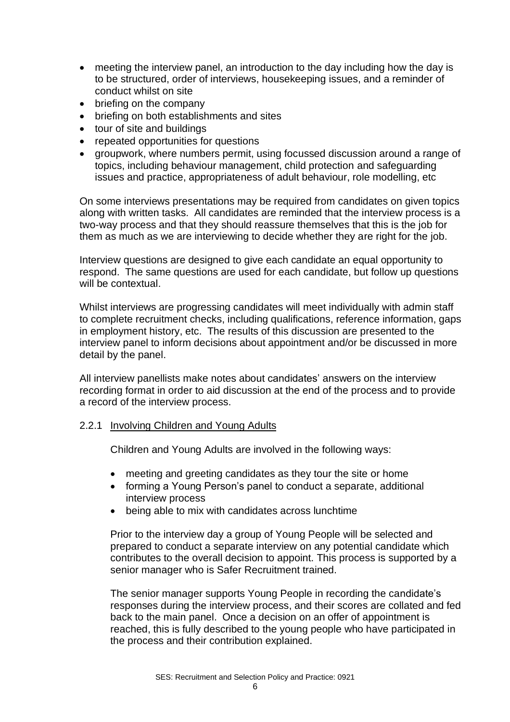- meeting the interview panel, an introduction to the day including how the day is to be structured, order of interviews, housekeeping issues, and a reminder of conduct whilst on site
- briefing on the company
- briefing on both establishments and sites
- tour of site and buildings
- repeated opportunities for questions
- groupwork, where numbers permit, using focussed discussion around a range of topics, including behaviour management, child protection and safeguarding issues and practice, appropriateness of adult behaviour, role modelling, etc

On some interviews presentations may be required from candidates on given topics along with written tasks. All candidates are reminded that the interview process is a two-way process and that they should reassure themselves that this is the job for them as much as we are interviewing to decide whether they are right for the job.

Interview questions are designed to give each candidate an equal opportunity to respond. The same questions are used for each candidate, but follow up questions will be contextual.

Whilst interviews are progressing candidates will meet individually with admin staff to complete recruitment checks, including qualifications, reference information, gaps in employment history, etc. The results of this discussion are presented to the interview panel to inform decisions about appointment and/or be discussed in more detail by the panel.

All interview panellists make notes about candidates' answers on the interview recording format in order to aid discussion at the end of the process and to provide a record of the interview process.

#### 2.2.1 Involving Children and Young Adults

Children and Young Adults are involved in the following ways:

- meeting and greeting candidates as they tour the site or home
- forming a Young Person's panel to conduct a separate, additional interview process
- being able to mix with candidates across lunchtime

Prior to the interview day a group of Young People will be selected and prepared to conduct a separate interview on any potential candidate which contributes to the overall decision to appoint. This process is supported by a senior manager who is Safer Recruitment trained.

The senior manager supports Young People in recording the candidate's responses during the interview process, and their scores are collated and fed back to the main panel. Once a decision on an offer of appointment is reached, this is fully described to the young people who have participated in the process and their contribution explained.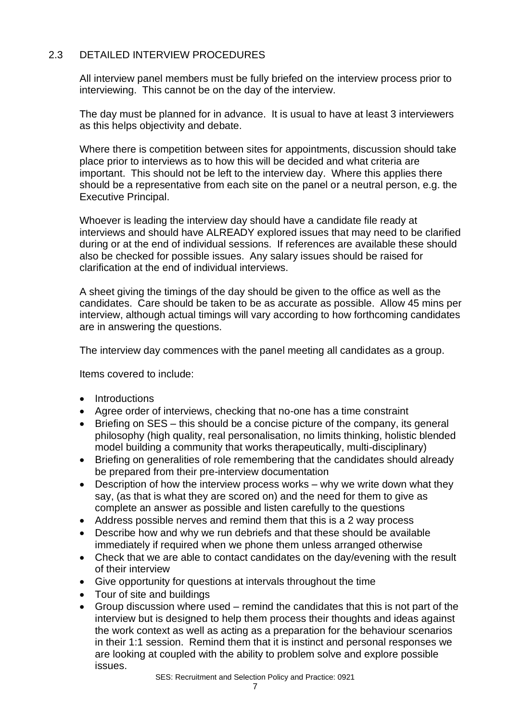# 2.3 DETAILED INTERVIEW PROCEDURES

All interview panel members must be fully briefed on the interview process prior to interviewing. This cannot be on the day of the interview.

The day must be planned for in advance. It is usual to have at least 3 interviewers as this helps objectivity and debate.

Where there is competition between sites for appointments, discussion should take place prior to interviews as to how this will be decided and what criteria are important. This should not be left to the interview day. Where this applies there should be a representative from each site on the panel or a neutral person, e.g. the Executive Principal.

Whoever is leading the interview day should have a candidate file ready at interviews and should have ALREADY explored issues that may need to be clarified during or at the end of individual sessions. If references are available these should also be checked for possible issues. Any salary issues should be raised for clarification at the end of individual interviews.

A sheet giving the timings of the day should be given to the office as well as the candidates. Care should be taken to be as accurate as possible. Allow 45 mins per interview, although actual timings will vary according to how forthcoming candidates are in answering the questions.

The interview day commences with the panel meeting all candidates as a group.

Items covered to include:

- Introductions
- Agree order of interviews, checking that no-one has a time constraint
- Briefing on SES this should be a concise picture of the company, its general philosophy (high quality, real personalisation, no limits thinking, holistic blended model building a community that works therapeutically, multi-disciplinary)
- Briefing on generalities of role remembering that the candidates should already be prepared from their pre-interview documentation
- Description of how the interview process works why we write down what they say, (as that is what they are scored on) and the need for them to give as complete an answer as possible and listen carefully to the questions
- Address possible nerves and remind them that this is a 2 way process
- Describe how and why we run debriefs and that these should be available immediately if required when we phone them unless arranged otherwise
- Check that we are able to contact candidates on the day/evening with the result of their interview
- Give opportunity for questions at intervals throughout the time
- Tour of site and buildings
- Group discussion where used remind the candidates that this is not part of the interview but is designed to help them process their thoughts and ideas against the work context as well as acting as a preparation for the behaviour scenarios in their 1:1 session. Remind them that it is instinct and personal responses we are looking at coupled with the ability to problem solve and explore possible issues.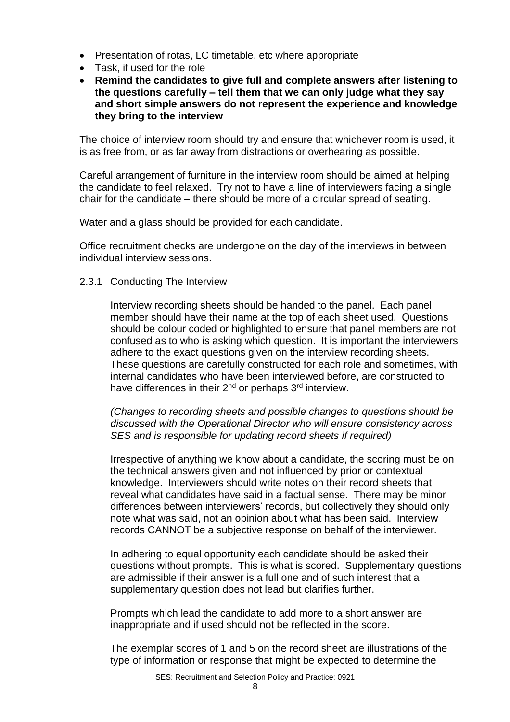- Presentation of rotas, LC timetable, etc where appropriate
- Task, if used for the role
- **Remind the candidates to give full and complete answers after listening to the questions carefully – tell them that we can only judge what they say and short simple answers do not represent the experience and knowledge they bring to the interview**

The choice of interview room should try and ensure that whichever room is used, it is as free from, or as far away from distractions or overhearing as possible.

Careful arrangement of furniture in the interview room should be aimed at helping the candidate to feel relaxed. Try not to have a line of interviewers facing a single chair for the candidate – there should be more of a circular spread of seating.

Water and a glass should be provided for each candidate.

Office recruitment checks are undergone on the day of the interviews in between individual interview sessions.

2.3.1 Conducting The Interview

Interview recording sheets should be handed to the panel. Each panel member should have their name at the top of each sheet used. Questions should be colour coded or highlighted to ensure that panel members are not confused as to who is asking which question. It is important the interviewers adhere to the exact questions given on the interview recording sheets. These questions are carefully constructed for each role and sometimes, with internal candidates who have been interviewed before, are constructed to have differences in their 2<sup>nd</sup> or perhaps 3<sup>rd</sup> interview.

*(Changes to recording sheets and possible changes to questions should be discussed with the Operational Director who will ensure consistency across SES and is responsible for updating record sheets if required)*

Irrespective of anything we know about a candidate, the scoring must be on the technical answers given and not influenced by prior or contextual knowledge. Interviewers should write notes on their record sheets that reveal what candidates have said in a factual sense. There may be minor differences between interviewers' records, but collectively they should only note what was said, not an opinion about what has been said. Interview records CANNOT be a subjective response on behalf of the interviewer.

In adhering to equal opportunity each candidate should be asked their questions without prompts. This is what is scored. Supplementary questions are admissible if their answer is a full one and of such interest that a supplementary question does not lead but clarifies further.

Prompts which lead the candidate to add more to a short answer are inappropriate and if used should not be reflected in the score.

The exemplar scores of 1 and 5 on the record sheet are illustrations of the type of information or response that might be expected to determine the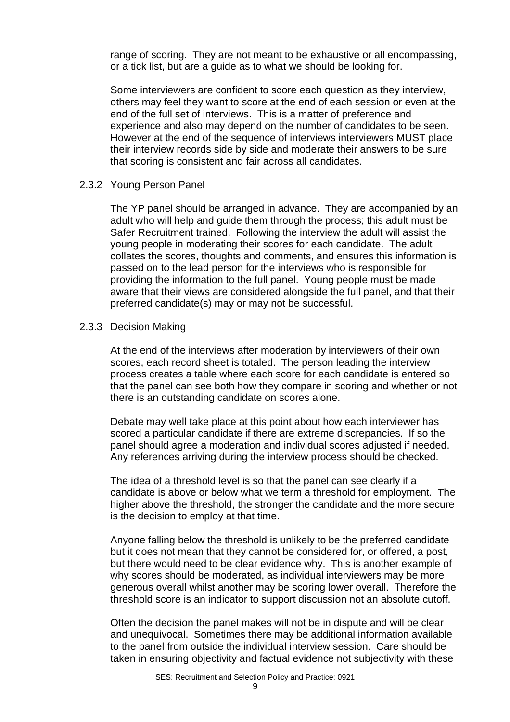range of scoring. They are not meant to be exhaustive or all encompassing, or a tick list, but are a guide as to what we should be looking for.

Some interviewers are confident to score each question as they interview, others may feel they want to score at the end of each session or even at the end of the full set of interviews. This is a matter of preference and experience and also may depend on the number of candidates to be seen. However at the end of the sequence of interviews interviewers MUST place their interview records side by side and moderate their answers to be sure that scoring is consistent and fair across all candidates.

#### 2.3.2 Young Person Panel

The YP panel should be arranged in advance. They are accompanied by an adult who will help and guide them through the process; this adult must be Safer Recruitment trained. Following the interview the adult will assist the young people in moderating their scores for each candidate. The adult collates the scores, thoughts and comments, and ensures this information is passed on to the lead person for the interviews who is responsible for providing the information to the full panel. Young people must be made aware that their views are considered alongside the full panel, and that their preferred candidate(s) may or may not be successful.

#### 2.3.3 Decision Making

At the end of the interviews after moderation by interviewers of their own scores, each record sheet is totaled. The person leading the interview process creates a table where each score for each candidate is entered so that the panel can see both how they compare in scoring and whether or not there is an outstanding candidate on scores alone.

Debate may well take place at this point about how each interviewer has scored a particular candidate if there are extreme discrepancies. If so the panel should agree a moderation and individual scores adjusted if needed. Any references arriving during the interview process should be checked.

The idea of a threshold level is so that the panel can see clearly if a candidate is above or below what we term a threshold for employment. The higher above the threshold, the stronger the candidate and the more secure is the decision to employ at that time.

Anyone falling below the threshold is unlikely to be the preferred candidate but it does not mean that they cannot be considered for, or offered, a post, but there would need to be clear evidence why. This is another example of why scores should be moderated, as individual interviewers may be more generous overall whilst another may be scoring lower overall. Therefore the threshold score is an indicator to support discussion not an absolute cutoff.

Often the decision the panel makes will not be in dispute and will be clear and unequivocal. Sometimes there may be additional information available to the panel from outside the individual interview session. Care should be taken in ensuring objectivity and factual evidence not subjectivity with these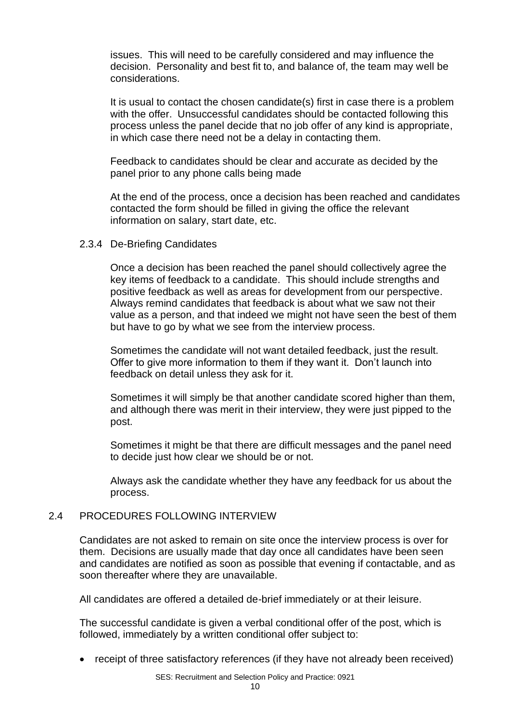issues. This will need to be carefully considered and may influence the decision. Personality and best fit to, and balance of, the team may well be considerations.

It is usual to contact the chosen candidate(s) first in case there is a problem with the offer. Unsuccessful candidates should be contacted following this process unless the panel decide that no job offer of any kind is appropriate, in which case there need not be a delay in contacting them.

Feedback to candidates should be clear and accurate as decided by the panel prior to any phone calls being made

At the end of the process, once a decision has been reached and candidates contacted the form should be filled in giving the office the relevant information on salary, start date, etc.

#### 2.3.4 De-Briefing Candidates

Once a decision has been reached the panel should collectively agree the key items of feedback to a candidate. This should include strengths and positive feedback as well as areas for development from our perspective. Always remind candidates that feedback is about what we saw not their value as a person, and that indeed we might not have seen the best of them but have to go by what we see from the interview process.

Sometimes the candidate will not want detailed feedback, just the result. Offer to give more information to them if they want it. Don't launch into feedback on detail unless they ask for it.

Sometimes it will simply be that another candidate scored higher than them, and although there was merit in their interview, they were just pipped to the post.

Sometimes it might be that there are difficult messages and the panel need to decide just how clear we should be or not.

Always ask the candidate whether they have any feedback for us about the process.

#### 2.4 PROCEDURES FOLLOWING INTERVIEW

Candidates are not asked to remain on site once the interview process is over for them. Decisions are usually made that day once all candidates have been seen and candidates are notified as soon as possible that evening if contactable, and as soon thereafter where they are unavailable.

All candidates are offered a detailed de-brief immediately or at their leisure.

The successful candidate is given a verbal conditional offer of the post, which is followed, immediately by a written conditional offer subject to:

• receipt of three satisfactory references (if they have not already been received)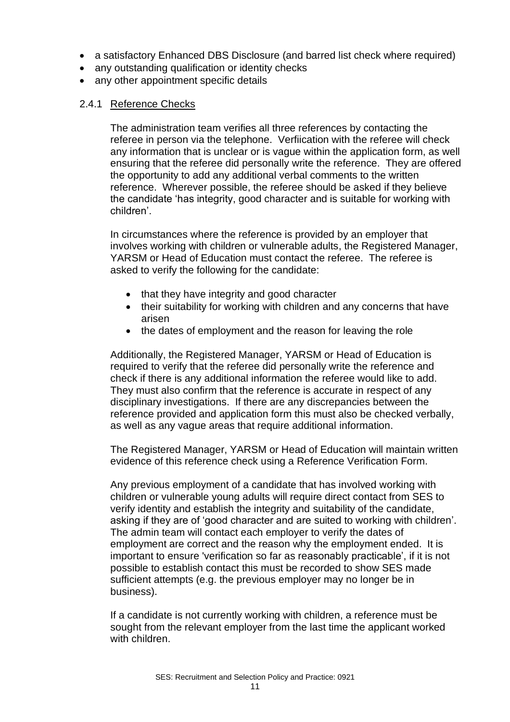- a satisfactory Enhanced DBS Disclosure (and barred list check where required)
- any outstanding qualification or identity checks
- any other appointment specific details

#### 2.4.1 Reference Checks

The administration team verifies all three references by contacting the referee in person via the telephone. Verfiication with the referee will check any information that is unclear or is vague within the application form, as well ensuring that the referee did personally write the reference. They are offered the opportunity to add any additional verbal comments to the written reference. Wherever possible, the referee should be asked if they believe the candidate 'has integrity, good character and is suitable for working with children'.

In circumstances where the reference is provided by an employer that involves working with children or vulnerable adults, the Registered Manager, YARSM or Head of Education must contact the referee. The referee is asked to verify the following for the candidate:

- that they have integrity and good character
- their suitability for working with children and any concerns that have arisen
- the dates of employment and the reason for leaving the role

Additionally, the Registered Manager, YARSM or Head of Education is required to verify that the referee did personally write the reference and check if there is any additional information the referee would like to add. They must also confirm that the reference is accurate in respect of any disciplinary investigations. If there are any discrepancies between the reference provided and application form this must also be checked verbally, as well as any vague areas that require additional information.

The Registered Manager, YARSM or Head of Education will maintain written evidence of this reference check using a Reference Verification Form.

Any previous employment of a candidate that has involved working with children or vulnerable young adults will require direct contact from SES to verify identity and establish the integrity and suitability of the candidate, asking if they are of 'good character and are suited to working with children'. The admin team will contact each employer to verify the dates of employment are correct and the reason why the employment ended. It is important to ensure 'verification so far as reasonably practicable', if it is not possible to establish contact this must be recorded to show SES made sufficient attempts (e.g. the previous employer may no longer be in business).

If a candidate is not currently working with children, a reference must be sought from the relevant employer from the last time the applicant worked with children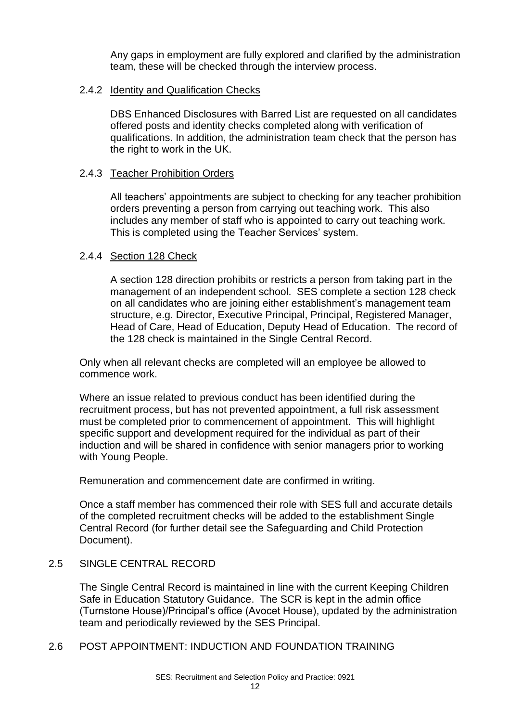Any gaps in employment are fully explored and clarified by the administration team, these will be checked through the interview process.

#### 2.4.2 Identity and Qualification Checks

DBS Enhanced Disclosures with Barred List are requested on all candidates offered posts and identity checks completed along with verification of qualifications. In addition, the administration team check that the person has the right to work in the UK.

#### 2.4.3 Teacher Prohibition Orders

All teachers' appointments are subject to checking for any teacher prohibition orders preventing a person from carrying out teaching work. This also includes any member of staff who is appointed to carry out teaching work. This is completed using the Teacher Services' system.

#### 2.4.4 Section 128 Check

A section 128 direction prohibits or restricts a person from taking part in the management of an independent school. SES complete a section 128 check on all candidates who are joining either establishment's management team structure, e.g. Director, Executive Principal, Principal, Registered Manager, Head of Care, Head of Education, Deputy Head of Education. The record of the 128 check is maintained in the Single Central Record.

Only when all relevant checks are completed will an employee be allowed to commence work.

Where an issue related to previous conduct has been identified during the recruitment process, but has not prevented appointment, a full risk assessment must be completed prior to commencement of appointment. This will highlight specific support and development required for the individual as part of their induction and will be shared in confidence with senior managers prior to working with Young People.

Remuneration and commencement date are confirmed in writing.

Once a staff member has commenced their role with SES full and accurate details of the completed recruitment checks will be added to the establishment Single Central Record (for further detail see the Safeguarding and Child Protection Document).

#### 2.5 SINGLE CENTRAL RECORD

The Single Central Record is maintained in line with the current Keeping Children Safe in Education Statutory Guidance. The SCR is kept in the admin office (Turnstone House)/Principal's office (Avocet House), updated by the administration team and periodically reviewed by the SES Principal.

2.6 POST APPOINTMENT: INDUCTION AND FOUNDATION TRAINING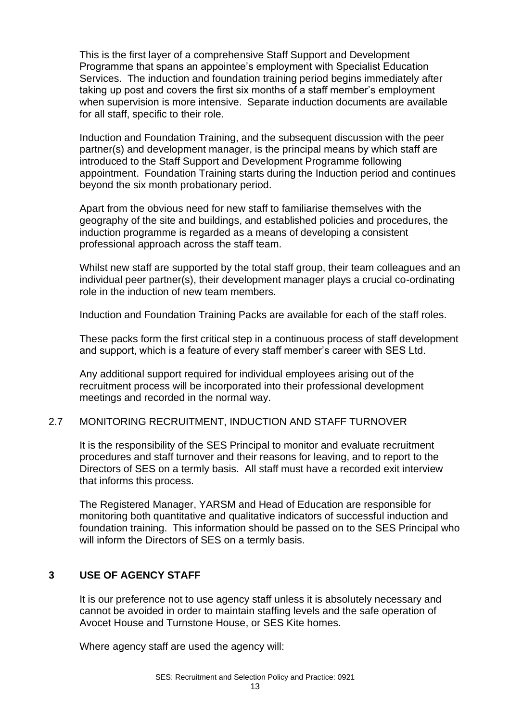This is the first layer of a comprehensive Staff Support and Development Programme that spans an appointee's employment with Specialist Education Services. The induction and foundation training period begins immediately after taking up post and covers the first six months of a staff member's employment when supervision is more intensive. Separate induction documents are available for all staff, specific to their role.

Induction and Foundation Training, and the subsequent discussion with the peer partner(s) and development manager, is the principal means by which staff are introduced to the Staff Support and Development Programme following appointment. Foundation Training starts during the Induction period and continues beyond the six month probationary period.

Apart from the obvious need for new staff to familiarise themselves with the geography of the site and buildings, and established policies and procedures, the induction programme is regarded as a means of developing a consistent professional approach across the staff team.

Whilst new staff are supported by the total staff group, their team colleagues and an individual peer partner(s), their development manager plays a crucial co-ordinating role in the induction of new team members.

Induction and Foundation Training Packs are available for each of the staff roles.

These packs form the first critical step in a continuous process of staff development and support, which is a feature of every staff member's career with SES Ltd.

Any additional support required for individual employees arising out of the recruitment process will be incorporated into their professional development meetings and recorded in the normal way.

#### 2.7 MONITORING RECRUITMENT, INDUCTION AND STAFF TURNOVER

It is the responsibility of the SES Principal to monitor and evaluate recruitment procedures and staff turnover and their reasons for leaving, and to report to the Directors of SES on a termly basis. All staff must have a recorded exit interview that informs this process.

The Registered Manager, YARSM and Head of Education are responsible for monitoring both quantitative and qualitative indicators of successful induction and foundation training. This information should be passed on to the SES Principal who will inform the Directors of SES on a termly basis.

#### **3 USE OF AGENCY STAFF**

It is our preference not to use agency staff unless it is absolutely necessary and cannot be avoided in order to maintain staffing levels and the safe operation of Avocet House and Turnstone House, or SES Kite homes.

Where agency staff are used the agency will: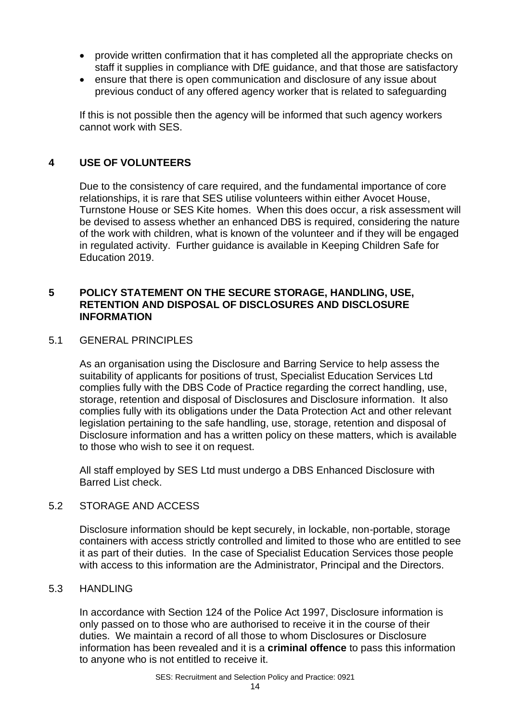- provide written confirmation that it has completed all the appropriate checks on staff it supplies in compliance with DfE guidance, and that those are satisfactory
- ensure that there is open communication and disclosure of any issue about previous conduct of any offered agency worker that is related to safeguarding

If this is not possible then the agency will be informed that such agency workers cannot work with SES.

# **4 USE OF VOLUNTEERS**

Due to the consistency of care required, and the fundamental importance of core relationships, it is rare that SES utilise volunteers within either Avocet House, Turnstone House or SES Kite homes. When this does occur, a risk assessment will be devised to assess whether an enhanced DBS is required, considering the nature of the work with children, what is known of the volunteer and if they will be engaged in regulated activity. Further guidance is available in Keeping Children Safe for Education 2019.

#### **5 POLICY STATEMENT ON THE SECURE STORAGE, HANDLING, USE, RETENTION AND DISPOSAL OF DISCLOSURES AND DISCLOSURE INFORMATION**

#### 5.1 GENERAL PRINCIPLES

As an organisation using the Disclosure and Barring Service to help assess the suitability of applicants for positions of trust, Specialist Education Services Ltd complies fully with the DBS Code of Practice regarding the correct handling, use, storage, retention and disposal of Disclosures and Disclosure information. It also complies fully with its obligations under the Data Protection Act and other relevant legislation pertaining to the safe handling, use, storage, retention and disposal of Disclosure information and has a written policy on these matters, which is available to those who wish to see it on request.

All staff employed by SES Ltd must undergo a DBS Enhanced Disclosure with Barred List check.

#### 5.2 STORAGE AND ACCESS

Disclosure information should be kept securely, in lockable, non-portable, storage containers with access strictly controlled and limited to those who are entitled to see it as part of their duties. In the case of Specialist Education Services those people with access to this information are the Administrator, Principal and the Directors.

#### 5.3 HANDLING

In accordance with Section 124 of the Police Act 1997, Disclosure information is only passed on to those who are authorised to receive it in the course of their duties. We maintain a record of all those to whom Disclosures or Disclosure information has been revealed and it is a **criminal offence** to pass this information to anyone who is not entitled to receive it.